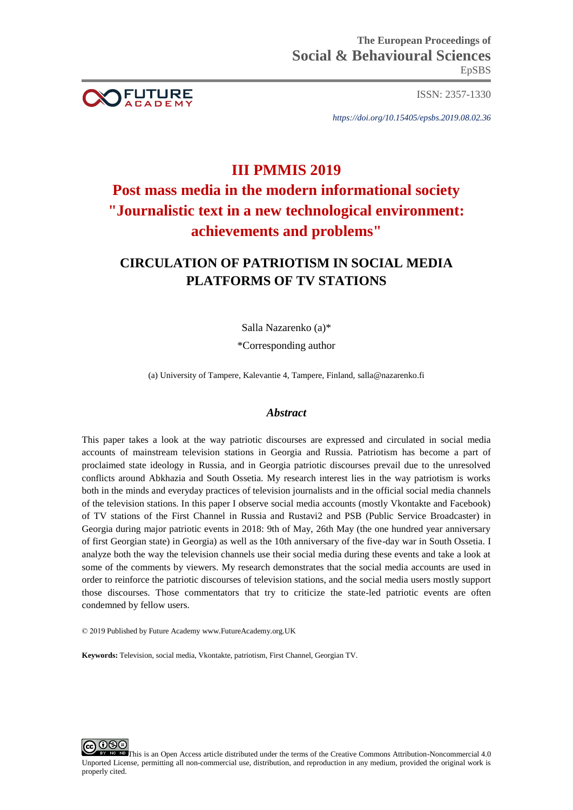

ISSN: 2357-1330

*https://doi.org/10.15405/epsbs.2019.08.02.36*

## **III PMMIS 2019**

# **Post mass media in the modern informational society "Journalistic text in a new technological environment: achievements and problems"**

## **CIRCULATION OF PATRIOTISM IN SOCIAL MEDIA PLATFORMS OF TV STATIONS**

Salla Nazarenko (a)\*

\*Corresponding author

(a) University of Tampere, Kalevantie 4, Tampere, Finland[, salla@nazarenko.fi](mailto:salla@nazarenko.fi)

## *Abstract*

This paper takes a look at the way patriotic discourses are expressed and circulated in social media accounts of mainstream television stations in Georgia and Russia. Patriotism has become a part of proclaimed state ideology in Russia, and in Georgia patriotic discourses prevail due to the unresolved conflicts around Abkhazia and South Ossetia. My research interest lies in the way patriotism is works both in the minds and everyday practices of television journalists and in the official social media channels of the television stations. In this paper I observe social media accounts (mostly Vkontakte and Facebook) of TV stations of the First Channel in Russia and Rustavi2 and PSB (Public Service Broadcaster) in Georgia during major patriotic events in 2018: 9th of May, 26th May (the one hundred year anniversary of first Georgian state) in Georgia) as well as the 10th anniversary of the five-day war in South Ossetia. I analyze both the way the television channels use their social media during these events and take a look at some of the comments by viewers. My research demonstrates that the social media accounts are used in order to reinforce the patriotic discourses of television stations, and the social media users mostly support those discourses. Those commentators that try to criticize the state-led patriotic events are often condemned by fellow users.

© 2019 Published by Future Academy www.FutureAcademy.org.UK

**Keywords:** Television, social media, Vkontakte, patriotism, First Channel, Georgian TV.



This is an Open Access article distributed under the terms of the Creative Commons Attribution-Noncommercial 4.0 Unported License, permitting all non-commercial use, distribution, and reproduction in any medium, provided the original work is properly cited.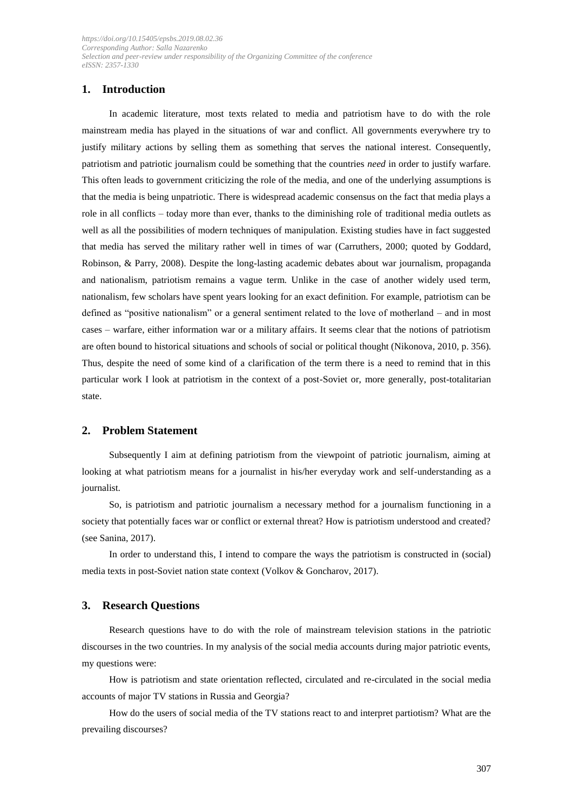## **1. Introduction**

In academic literature, most texts related to media and patriotism have to do with the role mainstream media has played in the situations of war and conflict. All governments everywhere try to justify military actions by selling them as something that serves the national interest. Consequently, patriotism and patriotic journalism could be something that the countries *need* in order to justify warfare. This often leads to government criticizing the role of the media, and one of the underlying assumptions is that the media is being unpatriotic. There is widespread academic consensus on the fact that media plays a role in all conflicts – today more than ever, thanks to the diminishing role of traditional media outlets as well as all the possibilities of modern techniques of manipulation. Existing studies have in fact suggested that media has served the military rather well in times of war (Carruthers, 2000; quoted by Goddard, Robinson, & Parry, 2008). Despite the long-lasting academic debates about war journalism, propaganda and nationalism, patriotism remains a vague term. Unlike in the case of another widely used term, nationalism, few scholars have spent years looking for an exact definition. For example, patriotism can be defined as "positive nationalism" or a general sentiment related to the love of motherland – and in most cases – warfare, either information war or a military affairs. It seems clear that the notions of patriotism are often bound to historical situations and schools of social or political thought (Nikonova, 2010, p. 356). Thus, despite the need of some kind of a clarification of the term there is a need to remind that in this particular work I look at patriotism in the context of a post-Soviet or, more generally, post-totalitarian state.

## **2. Problem Statement**

Subsequently I aim at defining patriotism from the viewpoint of patriotic journalism, aiming at looking at what patriotism means for a journalist in his/her everyday work and self-understanding as a journalist.

So, is patriotism and patriotic journalism a necessary method for a journalism functioning in a society that potentially faces war or conflict or external threat? How is patriotism understood and created? (see Sanina, 2017).

In order to understand this, I intend to compare the ways the patriotism is constructed in (social) media texts in post-Soviet nation state context (Volkov & Goncharov, 2017).

#### **3. Research Questions**

Research questions have to do with the role of mainstream television stations in the patriotic discourses in the two countries. In my analysis of the social media accounts during major patriotic events, my questions were:

How is patriotism and state orientation reflected, circulated and re-circulated in the social media accounts of major TV stations in Russia and Georgia?

How do the users of social media of the TV stations react to and interpret partiotism? What are the prevailing discourses?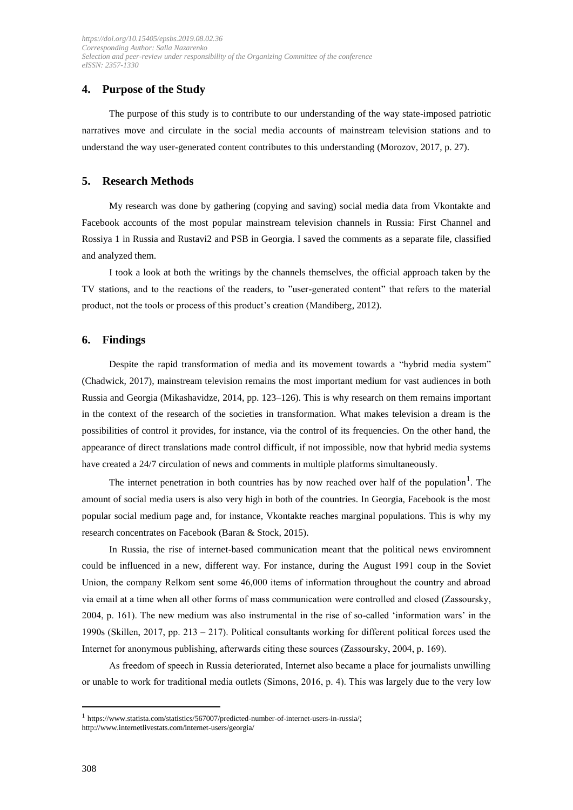## **4. Purpose of the Study**

The purpose of this study is to contribute to our understanding of the way state-imposed patriotic narratives move and circulate in the social media accounts of mainstream television stations and to understand the way user-generated content contributes to this understanding (Morozov, 2017, p. 27).

## **5. Research Methods**

My research was done by gathering (copying and saving) social media data from Vkontakte and Facebook accounts of the most popular mainstream television channels in Russia: First Channel and Rossiya 1 in Russia and Rustavi2 and PSB in Georgia. I saved the comments as a separate file, classified and analyzed them.

I took a look at both the writings by the channels themselves, the official approach taken by the TV stations, and to the reactions of the readers, to "user-generated content" that refers to the material product, not the tools or process of this product's creation (Mandiberg, 2012).

## **6. Findings**

Despite the rapid transformation of media and its movement towards a "hybrid media system" (Chadwick, 2017), mainstream television remains the most important medium for vast audiences in both Russia and Georgia (Mikashavidze, 2014, pp. 123–126). This is why research on them remains important in the context of the research of the societies in transformation. What makes television a dream is the possibilities of control it provides, for instance, via the control of its frequencies. On the other hand, the appearance of direct translations made control difficult, if not impossible, now that hybrid media systems have created a 24/7 circulation of news and comments in multiple platforms simultaneously.

The internet penetration in both countries has by now reached over half of the population<sup>1</sup>. The amount of social media users is also very high in both of the countries. In Georgia, Facebook is the most popular social medium page and, for instance, Vkontakte reaches marginal populations. This is why my research concentrates on Facebook (Baran & Stock, 2015).

In Russia, the rise of internet-based communication meant that the political news enviromnent could be influenced in a new, different way. For instance, during the August 1991 coup in the Soviet Union, the company Relkom sent some 46,000 items of information throughout the country and abroad via email at a time when all other forms of mass communication were controlled and closed (Zassoursky, 2004, p. 161). The new medium was also instrumental in the rise of so-called 'information wars' in the 1990s (Skillen, 2017, pp. 213 – 217). Political consultants working for different political forces used the Internet for anonymous publishing, afterwards citing these sources (Zassoursky, 2004, p. 169).

As freedom of speech in Russia deteriorated, Internet also became a place for journalists unwilling or unable to work for traditional media outlets (Simons, 2016, p. 4). This was largely due to the very low

<sup>1</sup> <https://www.statista.com/statistics/567007/predicted-number-of-internet-users-in-russia/>; <http://www.internetlivestats.com/internet-users/georgia/>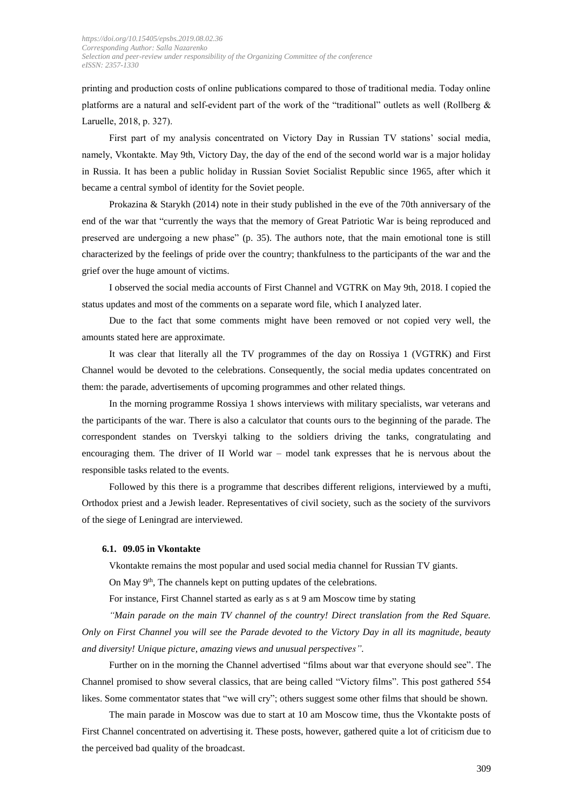printing and production costs of online publications compared to those of traditional media. Today online platforms are a natural and self-evident part of the work of the "traditional" outlets as well (Rollberg & Laruelle, 2018, p. 327).

First part of my analysis concentrated on Victory Day in Russian TV stations' social media, namely, Vkontakte. May 9th, Victory Day, the day of the end of the second world war is a major holiday in Russia. It has been a public holiday in Russian Soviet Socialist Republic since 1965, after which it became a central symbol of identity for the Soviet people.

Prokazina & Starykh (2014) note in their study published in the eve of the 70th anniversary of the end of the war that "currently the ways that the memory of Great Patriotic War is being reproduced and preserved are undergoing a new phase" (p. 35). The authors note, that the main emotional tone is still characterized by the feelings of pride over the country; thankfulness to the participants of the war and the grief over the huge amount of victims.

I observed the social media accounts of First Channel and VGTRK on May 9th, 2018. I copied the status updates and most of the comments on a separate word file, which I analyzed later.

Due to the fact that some comments might have been removed or not copied very well, the amounts stated here are approximate.

It was clear that literally all the TV programmes of the day on Rossiya 1 (VGTRK) and First Channel would be devoted to the celebrations. Consequently, the social media updates concentrated on them: the parade, advertisements of upcoming programmes and other related things.

In the morning programme Rossiya 1 shows interviews with military specialists, war veterans and the participants of the war. There is also a calculator that counts ours to the beginning of the parade. The correspondent standes on Tverskyi talking to the soldiers driving the tanks, congratulating and encouraging them. The driver of II World war – model tank expresses that he is nervous about the responsible tasks related to the events.

Followed by this there is a programme that describes different religions, interviewed by a mufti, Orthodox priest and a Jewish leader. Representatives of civil society, such as the society of the survivors of the siege of Leningrad are interviewed.

#### **6.1. 09.05 in Vkontakte**

Vkontakte remains the most popular and used social media channel for Russian TV giants.

On May  $9<sup>th</sup>$ , The channels kept on putting updates of the celebrations.

For instance, First Channel started as early as s at 9 am Moscow time by stating

*"Main parade on the main TV channel of the country! Direct translation from the Red Square. Only on First Channel you will see the Parade devoted to the Victory Day in all its magnitude, beauty and diversity! Unique picture, amazing views and unusual perspectives".*

Further on in the morning the Channel advertised "films about war that everyone should see". The Channel promised to show several classics, that are being called "Victory films". This post gathered 554 likes. Some commentator states that "we will cry"; others suggest some other films that should be shown.

The main parade in Moscow was due to start at 10 am Moscow time, thus the Vkontakte posts of First Channel concentrated on advertising it. These posts, however, gathered quite a lot of criticism due to the perceived bad quality of the broadcast.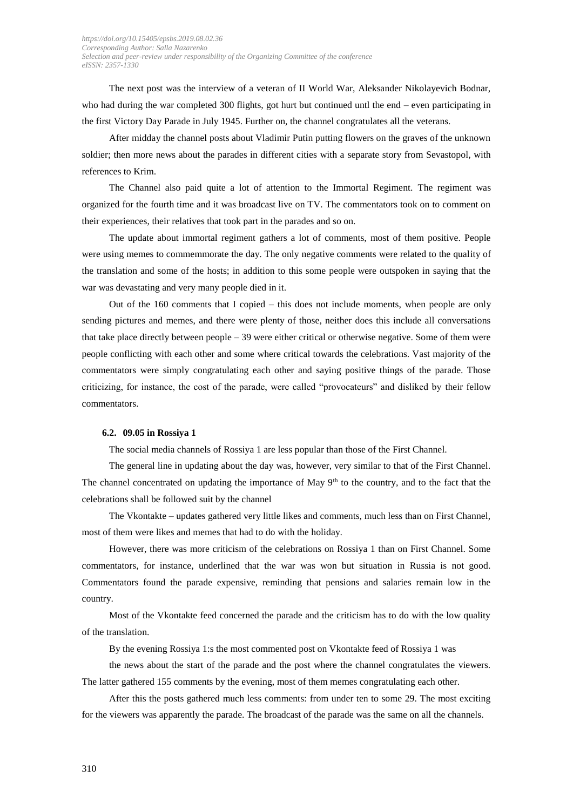The next post was the interview of a veteran of II World War, Aleksander Nikolayevich Bodnar, who had during the war completed 300 flights, got hurt but continued untl the end – even participating in the first Victory Day Parade in July 1945. Further on, the channel congratulates all the veterans.

After midday the channel posts about Vladimir Putin putting flowers on the graves of the unknown soldier; then more news about the parades in different cities with a separate story from Sevastopol, with references to Krim.

The Channel also paid quite a lot of attention to the Immortal Regiment. The regiment was organized for the fourth time and it was broadcast live on TV. The commentators took on to comment on their experiences, their relatives that took part in the parades and so on.

The update about immortal regiment gathers a lot of comments, most of them positive. People were using memes to commemmorate the day. The only negative comments were related to the quality of the translation and some of the hosts; in addition to this some people were outspoken in saying that the war was devastating and very many people died in it.

Out of the 160 comments that I copied – this does not include moments, when people are only sending pictures and memes, and there were plenty of those, neither does this include all conversations that take place directly between people – 39 were either critical or otherwise negative. Some of them were people conflicting with each other and some where critical towards the celebrations. Vast majority of the commentators were simply congratulating each other and saying positive things of the parade. Those criticizing, for instance, the cost of the parade, were called "provocateurs" and disliked by their fellow commentators.

#### **6.2. 09.05 in Rossiya 1**

The social media channels of Rossiya 1 are less popular than those of the First Channel.

The general line in updating about the day was, however, very similar to that of the First Channel. The channel concentrated on updating the importance of May  $9<sup>th</sup>$  to the country, and to the fact that the celebrations shall be followed suit by the channel

The Vkontakte – updates gathered very little likes and comments, much less than on First Channel, most of them were likes and memes that had to do with the holiday.

However, there was more criticism of the celebrations on Rossiya 1 than on First Channel. Some commentators, for instance, underlined that the war was won but situation in Russia is not good. Commentators found the parade expensive, reminding that pensions and salaries remain low in the country.

Most of the Vkontakte feed concerned the parade and the criticism has to do with the low quality of the translation.

By the evening Rossiya 1:s the most commented post on Vkontakte feed of Rossiya 1 was

the news about the start of the parade and the post where the channel congratulates the viewers. The latter gathered 155 comments by the evening, most of them memes congratulating each other.

After this the posts gathered much less comments: from under ten to some 29. The most exciting for the viewers was apparently the parade. The broadcast of the parade was the same on all the channels.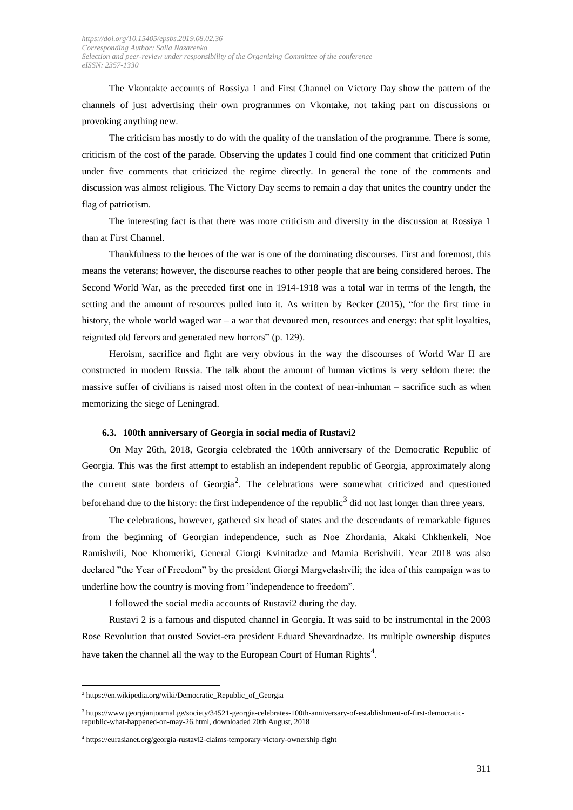The Vkontakte accounts of Rossiya 1 and First Channel on Victory Day show the pattern of the channels of just advertising their own programmes on Vkontake, not taking part on discussions or provoking anything new.

The criticism has mostly to do with the quality of the translation of the programme. There is some, criticism of the cost of the parade. Observing the updates I could find one comment that criticized Putin under five comments that criticized the regime directly. In general the tone of the comments and discussion was almost religious. The Victory Day seems to remain a day that unites the country under the flag of patriotism.

The interesting fact is that there was more criticism and diversity in the discussion at Rossiya 1 than at First Channel.

Thankfulness to the heroes of the war is one of the dominating discourses. First and foremost, this means the veterans; however, the discourse reaches to other people that are being considered heroes. The Second World War, as the preceded first one in 1914-1918 was a total war in terms of the length, the setting and the amount of resources pulled into it. As written by Becker (2015), "for the first time in history, the whole world waged war – a war that devoured men, resources and energy: that split loyalties, reignited old fervors and generated new horrors" (p. 129).

Heroism, sacrifice and fight are very obvious in the way the discourses of World War II are constructed in modern Russia. The talk about the amount of human victims is very seldom there: the massive suffer of civilians is raised most often in the context of near-inhuman – sacrifice such as when memorizing the siege of Leningrad.

#### **6.3. 100th anniversary of Georgia in social media of Rustavi2**

On May 26th, 2018, Georgia celebrated the 100th anniversary of the Democratic Republic of Georgia. This was the first attempt to establish an independent republic of Georgia, approximately along the current state borders of Georgia<sup>2</sup>. The celebrations were somewhat criticized and questioned beforehand due to the history: the first independence of the republic<sup>3</sup> did not last longer than three years.

The celebrations, however, gathered six head of states and the descendants of remarkable figures from the beginning of Georgian independence, such as Noe Zhordania, Akaki Chkhenkeli, Noe Ramishvili, Noe Khomeriki, General Giorgi Kvinitadze and Mamia Berishvili. Year 2018 was also declared "the Year of Freedom" by the president Giorgi Margvelashvili; the idea of this campaign was to underline how the country is moving from "independence to freedom".

I followed the social media accounts of Rustavi2 during the day.

Rustavi 2 is a famous and disputed channel in Georgia. It was said to be instrumental in the 2003 Rose Revolution that ousted Soviet-era president Eduard Shevardnadze. Its multiple ownership disputes have taken the channel all the way to the European Court of Human Rights<sup>4</sup>.

<sup>2</sup> [https://en.wikipedia.org/wiki/Democratic\\_Republic\\_of\\_Georgia](https://en.wikipedia.org/wiki/Democratic_Republic_of_Georgia)

<sup>3</sup> [https://www.georgianjournal.ge/society/34521-georgia-celebrates-100th-anniversary-of-establishment-of-first-democratic](https://www.georgianjournal.ge/society/34521-georgia-celebrates-100th-anniversary-of-establishment-of-first-democratic-republic-what-happened-on-may-26.html)[republic-what-happened-on-may-26.html,](https://www.georgianjournal.ge/society/34521-georgia-celebrates-100th-anniversary-of-establishment-of-first-democratic-republic-what-happened-on-may-26.html) downloaded 20th August, 2018

<sup>4</sup> <https://eurasianet.org/georgia-rustavi2-claims-temporary-victory-ownership-fight>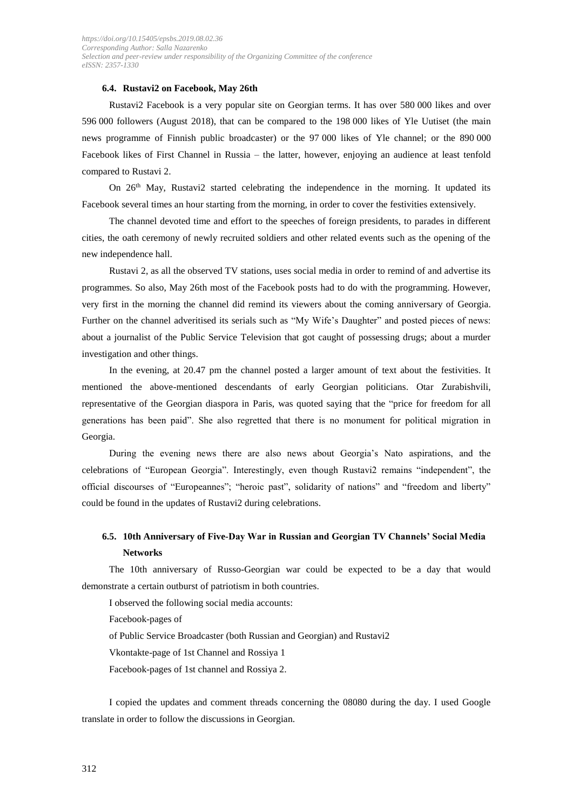#### **6.4. Rustavi2 on Facebook, May 26th**

Rustavi2 Facebook is a very popular site on Georgian terms. It has over 580 000 likes and over 596 000 followers (August 2018), that can be compared to the 198 000 likes of Yle Uutiset (the main news programme of Finnish public broadcaster) or the 97 000 likes of Yle channel; or the 890 000 Facebook likes of First Channel in Russia – the latter, however, enjoying an audience at least tenfold compared to Rustavi 2.

On 26<sup>th</sup> May, Rustavi2 started celebrating the independence in the morning. It updated its Facebook several times an hour starting from the morning, in order to cover the festivities extensively.

The channel devoted time and effort to the speeches of foreign presidents, to parades in different cities, the oath ceremony of newly recruited soldiers and other related events such as the opening of the new independence hall.

Rustavi 2, as all the observed TV stations, uses social media in order to remind of and advertise its programmes. So also, May 26th most of the Facebook posts had to do with the programming. However, very first in the morning the channel did remind its viewers about the coming anniversary of Georgia. Further on the channel adveritised its serials such as "My Wife's Daughter" and posted pieces of news: about a journalist of the Public Service Television that got caught of possessing drugs; about a murder investigation and other things.

In the evening, at 20.47 pm the channel posted a larger amount of text about the festivities. It mentioned the above-mentioned descendants of early Georgian politicians. Otar Zurabishvili, representative of the Georgian diaspora in Paris, was quoted saying that the "price for freedom for all generations has been paid". She also regretted that there is no monument for political migration in Georgia.

During the evening news there are also news about Georgia's Nato aspirations, and the celebrations of "European Georgia". Interestingly, even though Rustavi2 remains "independent", the official discourses of "Europeannes"; "heroic past", solidarity of nations" and "freedom and liberty" could be found in the updates of Rustavi2 during celebrations.

## **6.5. 10th Anniversary of Five-Day War in Russian and Georgian TV Channels' Social Media Networks**

The 10th anniversary of Russo-Georgian war could be expected to be a day that would demonstrate a certain outburst of patriotism in both countries.

I observed the following social media accounts:

Facebook-pages of

of Public Service Broadcaster (both Russian and Georgian) and Rustavi2

Vkontakte-page of 1st Channel and Rossiya 1

Facebook-pages of 1st channel and Rossiya 2.

I copied the updates and comment threads concerning the 08080 during the day. I used Google translate in order to follow the discussions in Georgian.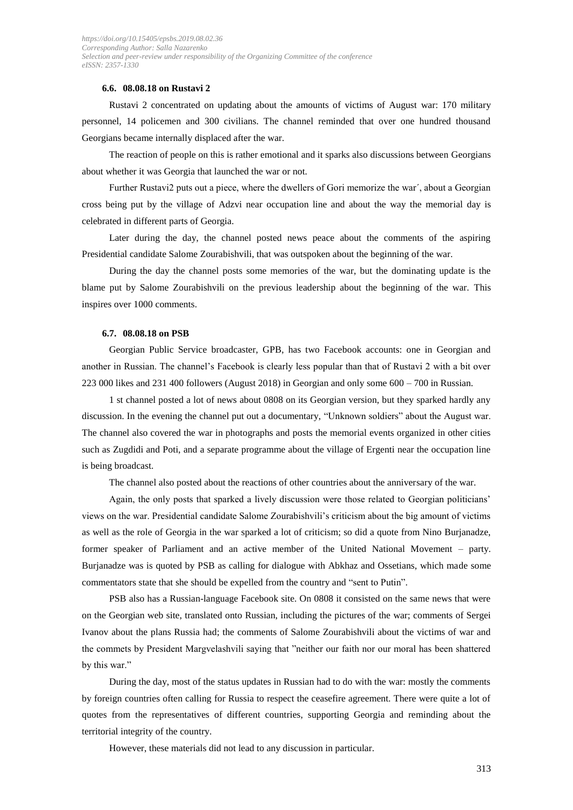### **6.6. 08.08.18 on Rustavi 2**

Rustavi 2 concentrated on updating about the amounts of victims of August war: 170 military personnel, 14 policemen and 300 civilians. The channel reminded that over one hundred thousand Georgians became internally displaced after the war.

The reaction of people on this is rather emotional and it sparks also discussions between Georgians about whether it was Georgia that launched the war or not.

Further Rustavi2 puts out a piece, where the dwellers of Gori memorize the war´, about a Georgian cross being put by the village of Adzvi near occupation line and about the way the memorial day is celebrated in different parts of Georgia.

Later during the day, the channel posted news peace about the comments of the aspiring Presidential candidate Salome Zourabishvili, that was outspoken about the beginning of the war.

During the day the channel posts some memories of the war, but the dominating update is the blame put by Salome Zourabishvili on the previous leadership about the beginning of the war. This inspires over 1000 comments.

#### **6.7. 08.08.18 on PSB**

Georgian Public Service broadcaster, GPB, has two Facebook accounts: one in Georgian and another in Russian. The channel's Facebook is clearly less popular than that of Rustavi 2 with a bit over 223 000 likes and 231 400 followers (August 2018) in Georgian and only some 600 – 700 in Russian.

1 st channel posted a lot of news about 0808 on its Georgian version, but they sparked hardly any discussion. In the evening the channel put out a documentary, "Unknown soldiers" about the August war. The channel also covered the war in photographs and posts the memorial events organized in other cities such as Zugdidi and Poti, and a separate programme about the village of Ergenti near the occupation line is being broadcast.

The channel also posted about the reactions of other countries about the anniversary of the war.

Again, the only posts that sparked a lively discussion were those related to Georgian politicians' views on the war. Presidential candidate Salome Zourabishvili's criticism about the big amount of victims as well as the role of Georgia in the war sparked a lot of criticism; so did a quote from Nino Burjanadze, former speaker of Parliament and an active member of the United National Movement – party. Burjanadze was is quoted by PSB as calling for dialogue with Abkhaz and Ossetians, which made some commentators state that she should be expelled from the country and "sent to Putin".

PSB also has a Russian-language Facebook site. On 0808 it consisted on the same news that were on the Georgian web site, translated onto Russian, including the pictures of the war; comments of Sergei Ivanov about the plans Russia had; the comments of Salome Zourabishvili about the victims of war and the commets by President Margvelashvili saying that "neither our faith nor our moral has been shattered by this war."

During the day, most of the status updates in Russian had to do with the war: mostly the comments by foreign countries often calling for Russia to respect the ceasefire agreement. There were quite a lot of quotes from the representatives of different countries, supporting Georgia and reminding about the territorial integrity of the country.

However, these materials did not lead to any discussion in particular.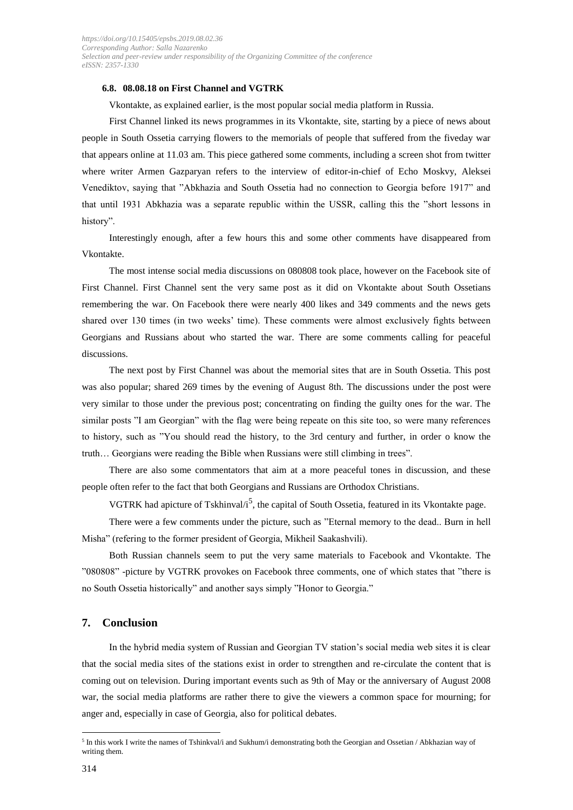#### **6.8. 08.08.18 on First Channel and VGTRK**

Vkontakte, as explained earlier, is the most popular social media platform in Russia.

First Channel linked its news programmes in its Vkontakte, site, starting by a piece of news about people in South Ossetia carrying flowers to the memorials of people that suffered from the fiveday war that appears online at 11.03 am. This piece gathered some comments, including a screen shot from twitter where writer Armen Gazparyan refers to the interview of editor-in-chief of Echo Moskvy, Aleksei Venediktov, saying that "Abkhazia and South Ossetia had no connection to Georgia before 1917" and that until 1931 Abkhazia was a separate republic within the USSR, calling this the "short lessons in history".

Interestingly enough, after a few hours this and some other comments have disappeared from Vkontakte.

The most intense social media discussions on 080808 took place, however on the Facebook site of First Channel. First Channel sent the very same post as it did on Vkontakte about South Ossetians remembering the war. On Facebook there were nearly 400 likes and 349 comments and the news gets shared over 130 times (in two weeks' time). These comments were almost exclusively fights between Georgians and Russians about who started the war. There are some comments calling for peaceful discussions.

The next post by First Channel was about the memorial sites that are in South Ossetia. This post was also popular; shared 269 times by the evening of August 8th. The discussions under the post were very similar to those under the previous post; concentrating on finding the guilty ones for the war. The similar posts "I am Georgian" with the flag were being repeate on this site too, so were many references to history, such as "You should read the history, to the 3rd century and further, in order o know the truth… Georgians were reading the Bible when Russians were still climbing in trees".

There are also some commentators that aim at a more peaceful tones in discussion, and these people often refer to the fact that both Georgians and Russians are Orthodox Christians.

VGTRK had apicture of Tskhinval/ $i^5$ , the capital of South Ossetia, featured in its Vkontakte page.

There were a few comments under the picture, such as "Eternal memory to the dead.. Burn in hell Misha" (refering to the former president of Georgia, Mikheil Saakashvili).

Both Russian channels seem to put the very same materials to Facebook and Vkontakte. The "080808" -picture by VGTRK provokes on Facebook three comments, one of which states that "there is no South Ossetia historically" and another says simply "Honor to Georgia."

#### **7. Conclusion**

In the hybrid media system of Russian and Georgian TV station's social media web sites it is clear that the social media sites of the stations exist in order to strengthen and re-circulate the content that is coming out on television. During important events such as 9th of May or the anniversary of August 2008 war, the social media platforms are rather there to give the viewers a common space for mourning; for anger and, especially in case of Georgia, also for political debates.

<sup>&</sup>lt;sup>5</sup> In this work I write the names of Tshinkval/i and Sukhum/i demonstrating both the Georgian and Ossetian / Abkhazian way of writing them.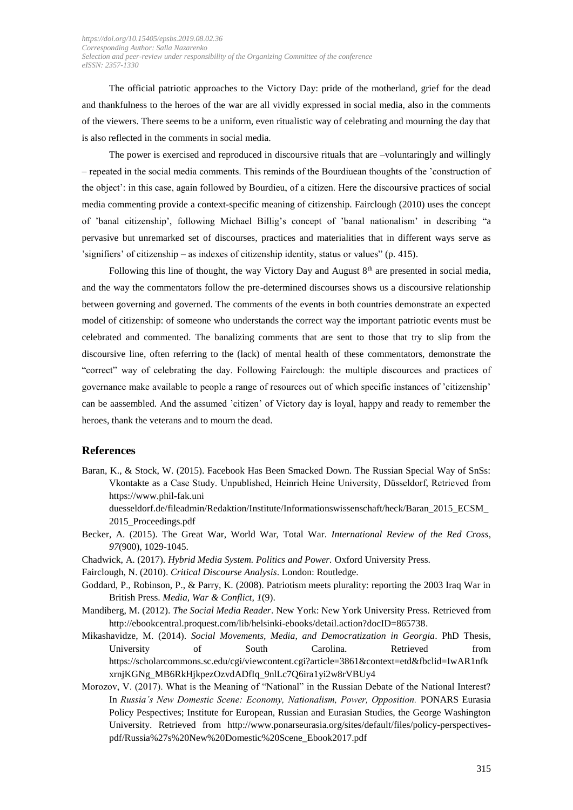The official patriotic approaches to the Victory Day: pride of the motherland, grief for the dead and thankfulness to the heroes of the war are all vividly expressed in social media, also in the comments of the viewers. There seems to be a uniform, even ritualistic way of celebrating and mourning the day that is also reflected in the comments in social media.

The power is exercised and reproduced in discoursive rituals that are –voluntaringly and willingly – repeated in the social media comments. This reminds of the Bourdiuean thoughts of the 'construction of the object': in this case, again followed by Bourdieu, of a citizen. Here the discoursive practices of social media commenting provide a context-specific meaning of citizenship. Fairclough (2010) uses the concept of 'banal citizenship', following Michael Billig's concept of 'banal nationalism' in describing "a pervasive but unremarked set of discourses, practices and materialities that in different ways serve as 'signifiers' of citizenship – as indexes of citizenship identity, status or values" (p. 415).

Following this line of thought, the way Victory Day and August  $8<sup>th</sup>$  are presented in social media, and the way the commentators follow the pre-determined discourses shows us a discoursive relationship between governing and governed. The comments of the events in both countries demonstrate an expected model of citizenship: of someone who understands the correct way the important patriotic events must be celebrated and commented. The banalizing comments that are sent to those that try to slip from the discoursive line, often referring to the (lack) of mental health of these commentators, demonstrate the "correct" way of celebrating the day. Following Fairclough: the multiple discources and practices of governance make available to people a range of resources out of which specific instances of 'citizenship' can be aassembled. And the assumed 'citizen' of Victory day is loyal, happy and ready to remember the heroes, thank the veterans and to mourn the dead.

## **References**

Baran, K., & Stock, W. (2015). Facebook Has Been Smacked Down. The Russian Special Way of SnSs: Vkontakte as a Case Study. Unpublished, Heinrich Heine University, Düsseldorf, Retrieved from https://www.phil-fak.uni

duesseldorf.de/fileadmin/Redaktion/Institute/Informationswissenschaft/heck/Baran\_2015\_ECSM\_ 2015\_Proceedings.pdf

- Becker, A. (2015). The Great War, World War, Total War. *International Review of the Red Cross*, *97*(900), 1029-1045.
- Chadwick, A. (2017). *Hybrid Media System. Politics and Power.* Oxford University Press.
- Fairclough, N. (2010). *Critical Discourse Analysis*. London: Routledge.
- Goddard, P., Robinson, P., & Parry, K. (2008). Patriotism meets plurality: reporting the 2003 Iraq War in British Press. *Media, War & Conflict, 1*(9).
- Mandiberg, M. (2012). *The Social Media Reader*. New York: New York University Press. Retrieved from [http://ebookcentral.proquest.com/lib/helsinki-ebooks/detail.action?docID=865738.](http://ebookcentral.proquest.com/lib/helsinki-ebooks/detail.action?docID=865738)
- Mikashavidze, M. (2014). *Social Movements, Media, and Democratization in Georgia*. PhD Thesis, University of South Carolina. Retrieved from [https://scholarcommons.sc.edu/cgi/viewcontent.cgi?article=3861&context=etd&fbclid=IwAR1nfk](https://scholarcommons.sc.edu/cgi/viewcontent.cgi?article=3861&context=etd&fbclid=IwAR1nfkxrnjKGNg_MB6RkHjkpezOzvdADfIq_9nlLc7Q6ira1yi2w8rVBUy4) [xrnjKGNg\\_MB6RkHjkpezOzvdADfIq\\_9nlLc7Q6ira1yi2w8rVBUy4](https://scholarcommons.sc.edu/cgi/viewcontent.cgi?article=3861&context=etd&fbclid=IwAR1nfkxrnjKGNg_MB6RkHjkpezOzvdADfIq_9nlLc7Q6ira1yi2w8rVBUy4)
- Morozov, V. (2017). What is the Meaning of "National" in the Russian Debate of the National Interest? In *Russia's New Domestic Scene: Economy, Nationalism, Power, Opposition.* PONARS Eurasia Policy Pespectives; Institute for European, Russian and Eurasian Studies, the George Washington University. Retrieved from [http://www.ponarseurasia.org/sites/default/files/policy-perspectives](http://www.ponarseurasia.org/sites/default/files/policy-perspectives-pdf/Russia%27s%20New%20Domestic%20Scene_Ebook2017.pdf)[pdf/Russia%27s%20New%20Domestic%20Scene\\_Ebook2017.pdf](http://www.ponarseurasia.org/sites/default/files/policy-perspectives-pdf/Russia%27s%20New%20Domestic%20Scene_Ebook2017.pdf)